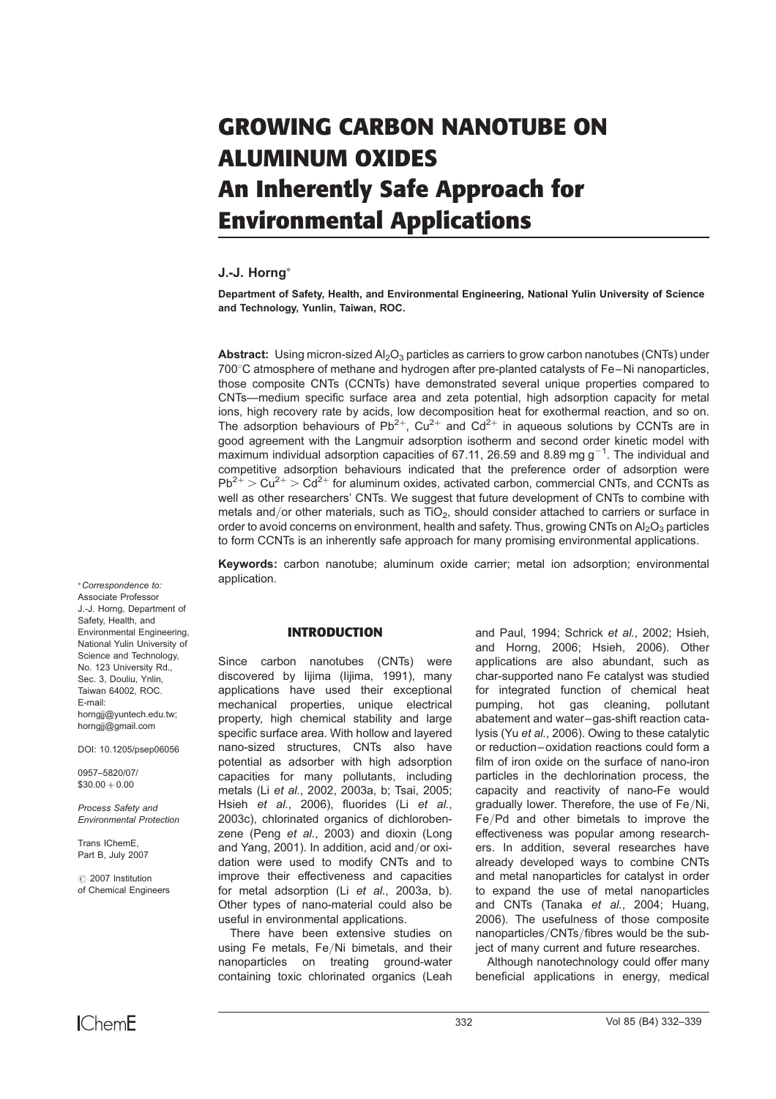# GROWING CARBON NANOTUBE ON ALUMINUM OXIDES An Inherently Safe Approach for Environmental Applications

# J.-J. Horng

Department of Safety, Health, and Environmental Engineering, National Yulin University of Science and Technology, Yunlin, Taiwan, ROC.

**Abstract:** Using micron-sized  $A_2O_3$  particles as carriers to grow carbon nanotubes (CNTs) under 700 °C atmosphere of methane and hydrogen after pre-planted catalysts of Fe–Ni nanoparticles, those composite CNTs (CCNTs) have demonstrated several unique properties compared to CNTs—medium specific surface area and zeta potential, high adsorption capacity for metal ions, high recovery rate by acids, low decomposition heat for exothermal reaction, and so on. The adsorption behaviours of Pb<sup>2+</sup>, Cu<sup>2+</sup> and Cd<sup>2+</sup> in aqueous solutions by CCNTs are in good agreement with the Langmuir adsorption isotherm and second order kinetic model with maximum individual adsorption capacities of 67.11, 26.59 and 8.89 mg  $g^{-1}$ . The individual and competitive adsorption behaviours indicated that the preference order of adsorption were  $Pb^{2+}$  > Cu<sup>2+</sup> > Cd<sup>2+</sup> for aluminum oxides, activated carbon, commercial CNTs, and CCNTs as well as other researchers' CNTs. We suggest that future development of CNTs to combine with metals and/or other materials, such as TiO<sub>2</sub>, should consider attached to carriers or surface in order to avoid concerns on environment, health and safety. Thus, growing CNTs on  $Al_2O_3$  particles to form CCNTs is an inherently safe approach for many promising environmental applications.

Keywords: carbon nanotube; aluminum oxide carrier; metal ion adsorption; environmental application.

#### INTRODUCTION

Since carbon nanotubes (CNTs) were discovered by lijima (lijima, 1991), many applications have used their exceptional mechanical properties, unique electrical property, high chemical stability and large specific surface area. With hollow and layered nano-sized structures, CNTs also have potential as adsorber with high adsorption capacities for many pollutants, including metals (Li et al., 2002, 2003a, b; Tsai, 2005; Hsieh et al., 2006), fluorides (Li et al., 2003c), chlorinated organics of dichlorobenzene (Peng et al., 2003) and dioxin (Long and Yang, 2001). In addition, acid and/or oxidation were used to modify CNTs and to improve their effectiveness and capacities for metal adsorption (Li et al., 2003a, b). Other types of nano-material could also be useful in environmental applications.

There have been extensive studies on using Fe metals, Fe/Ni bimetals, and their nanoparticles on treating ground-water containing toxic chlorinated organics (Leah and Paul, 1994; Schrick et al., 2002; Hsieh, and Horng, 2006; Hsieh, 2006). Other applications are also abundant, such as char-supported nano Fe catalyst was studied for integrated function of chemical heat pumping, hot gas cleaning, pollutant abatement and water–gas-shift reaction catalysis (Yu et al., 2006). Owing to these catalytic or reduction–oxidation reactions could form a film of iron oxide on the surface of nano-iron particles in the dechlorination process, the capacity and reactivity of nano-Fe would gradually lower. Therefore, the use of Fe/Ni, Fe/Pd and other bimetals to improve the effectiveness was popular among researchers. In addition, several researches have already developed ways to combine CNTs and metal nanoparticles for catalyst in order to expand the use of metal nanoparticles and CNTs (Tanaka et al., 2004; Huang, 2006). The usefulness of those composite nanoparticles/CNTs/fibres would be the subject of many current and future researches.

Although nanotechnology could offer many beneficial applications in energy, medical

Correspondence to: Associate Professor J.-J. Horng, Department of Safety, Health, and Environmental Engineering, National Yulin University of Science and Technology, No. 123 University Rd., Sec. 3, Douliu, Ynlin, Taiwan 64002, ROC. E-mail: horngjj@yuntech.edu.tw; horngjj@gmail.com

DOI: 10.1205/psep06056

0957–5820/07/  $$30.00 + 0.00$ 

Process Safety and Environmental Protection

Trans IChemE, Part B, July 2007

*#* 2007 Institution of Chemical Engineers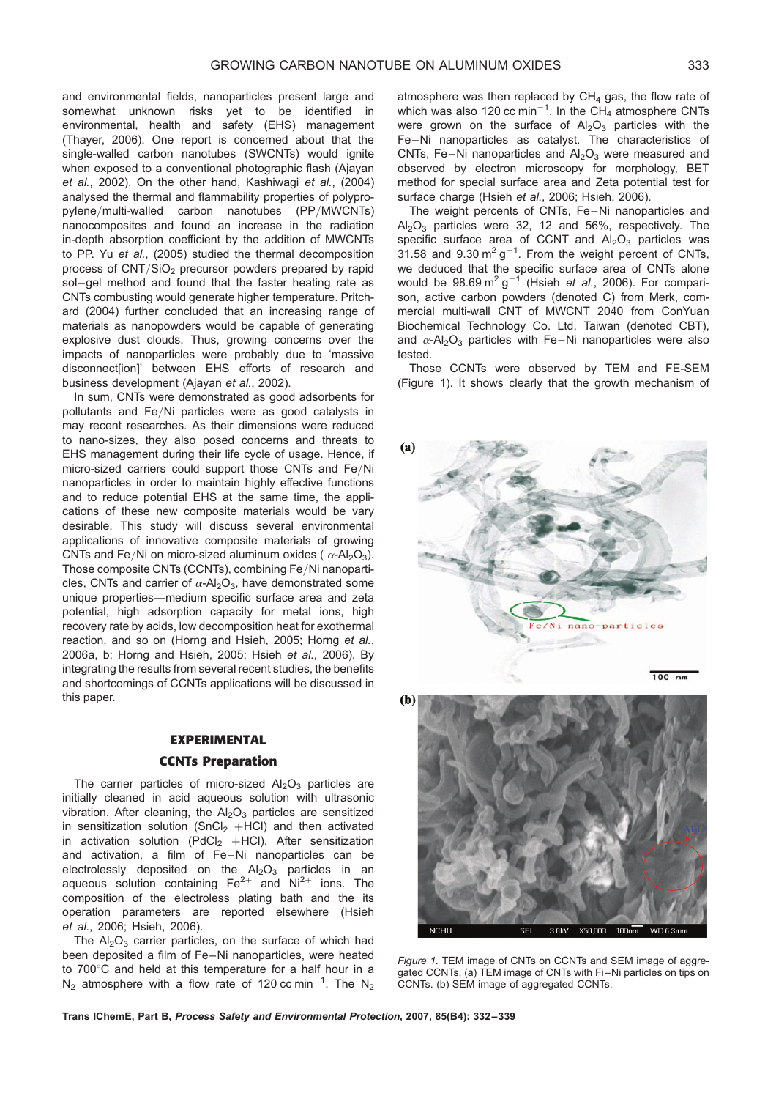and environmental fields, nanoparticles present large and somewhat unknown risks yet to be identified in environmental, health and safety (EHS) management (Thayer, 2006). One report is concerned about that the single-walled carbon nanotubes (SWCNTs) would ignite when exposed to a conventional photographic flash (Ajayan et al., 2002). On the other hand, Kashiwagi et al., (2004) analysed the thermal and flammability properties of polypropylene/multi-walled carbon nanotubes (PP/MWCNTs) nanocomposites and found an increase in the radiation in-depth absorption coefficient by the addition of MWCNTs to PP. Yu et al., (2005) studied the thermal decomposition process of CNT/SiO<sub>2</sub> precursor powders prepared by rapid sol–gel method and found that the faster heating rate as CNTs combusting would generate higher temperature. Pritchard (2004) further concluded that an increasing range of materials as nanopowders would be capable of generating explosive dust clouds. Thus, growing concerns over the impacts of nanoparticles were probably due to 'massive disconnect[ion]' between EHS efforts of research and business development (Ajayan et al., 2002).

In sum, CNTs were demonstrated as good adsorbents for pollutants and Fe/Ni particles were as good catalysts in may recent researches. As their dimensions were reduced to nano-sizes, they also posed concerns and threats to EHS management during their life cycle of usage. Hence, if micro-sized carriers could support those CNTs and Fe/Ni nanoparticles in order to maintain highly effective functions and to reduce potential EHS at the same time, the applications of these new composite materials would be vary desirable. This study will discuss several environmental applications of innovative composite materials of growing CNTs and Fe/Ni on micro-sized aluminum oxides ( $\alpha$ -Al<sub>2</sub>O<sub>3</sub>). Those composite CNTs (CCNTs), combining Fe/Ni nanoparticles, CNTs and carrier of  $\alpha$ -Al<sub>2</sub>O<sub>3</sub>, have demonstrated some unique properties—medium specific surface area and zeta potential, high adsorption capacity for metal ions, high recovery rate by acids, low decomposition heat for exothermal reaction, and so on (Horng and Hsieh, 2005; Horng et al., 2006a, b; Horng and Hsieh, 2005; Hsieh et al., 2006). By integrating the results from several recent studies, the benefits and shortcomings of CCNTs applications will be discussed in this paper.

# EXPERIMENTAL

## CCNTs Preparation

The carrier particles of micro-sized  $Al_2O_3$  particles are initially cleaned in acid aqueous solution with ultrasonic vibration. After cleaning, the  $Al_2O_3$  particles are sensitized in sensitization solution  $(SnCl<sub>2</sub> + HCl)$  and then activated in activation solution (PdCl<sub>2</sub> +HCl). After sensitization and activation, a film of Fe–Ni nanoparticles can be electrolessly deposited on the  $Al_2O_3$  particles in an aqueous solution containing  $Fe^{2+}$  and  $Ni^{2+}$  ions. The composition of the electroless plating bath and the its operation parameters are reported elsewhere (Hsieh et al., 2006; Hsieh, 2006).

The  $Al_2O_3$  carrier particles, on the surface of which had been deposited a film of Fe–Ni nanoparticles, were heated to  $700^{\circ}$ C and held at this temperature for a half hour in a  $N_2$  atmosphere with a flow rate of 120 cc min<sup>-1</sup>. The  $N_2$ 

atmosphere was then replaced by  $CH<sub>4</sub>$  gas, the flow rate of which was also 120 cc min $^{-1}$ . In the CH<sub>4</sub> atmosphere CNTs were grown on the surface of  $Al_2O_3$  particles with the Fe–Ni nanoparticles as catalyst. The characteristics of CNTs, Fe-Ni nanoparticles and  $Al_2O_3$  were measured and observed by electron microscopy for morphology, BET method for special surface area and Zeta potential test for surface charge (Hsieh et al., 2006; Hsieh, 2006).

The weight percents of CNTs, Fe–Ni nanoparticles and  $Al_2O_3$  particles were 32, 12 and 56%, respectively. The specific surface area of CCNT and  $Al_2O_3$  particles was 31.58 and 9.30  $\text{m}^2$  g<sup>-1</sup>. From the weight percent of CNTs, we deduced that the specific surface area of CNTs alone would be  $98.69 \text{ m}^2 \text{ g}^{-1}$  (Hsieh *et al.*, 2006). For comparison, active carbon powders (denoted C) from Merk, commercial multi-wall CNT of MWCNT 2040 from ConYuan Biochemical Technology Co. Ltd, Taiwan (denoted CBT), and  $\alpha$ -Al<sub>2</sub>O<sub>3</sub> particles with Fe–Ni nanoparticles were also tested.

Those CCNTs were observed by TEM and FE-SEM (Figure 1). It shows clearly that the growth mechanism of





Figure 1. TEM image of CNTs on CCNTs and SEM image of aggregated CCNTs. (a) TEM image of CNTs with Fi–Ni particles on tips on CCNTs. (b) SEM image of aggregated CCNTs.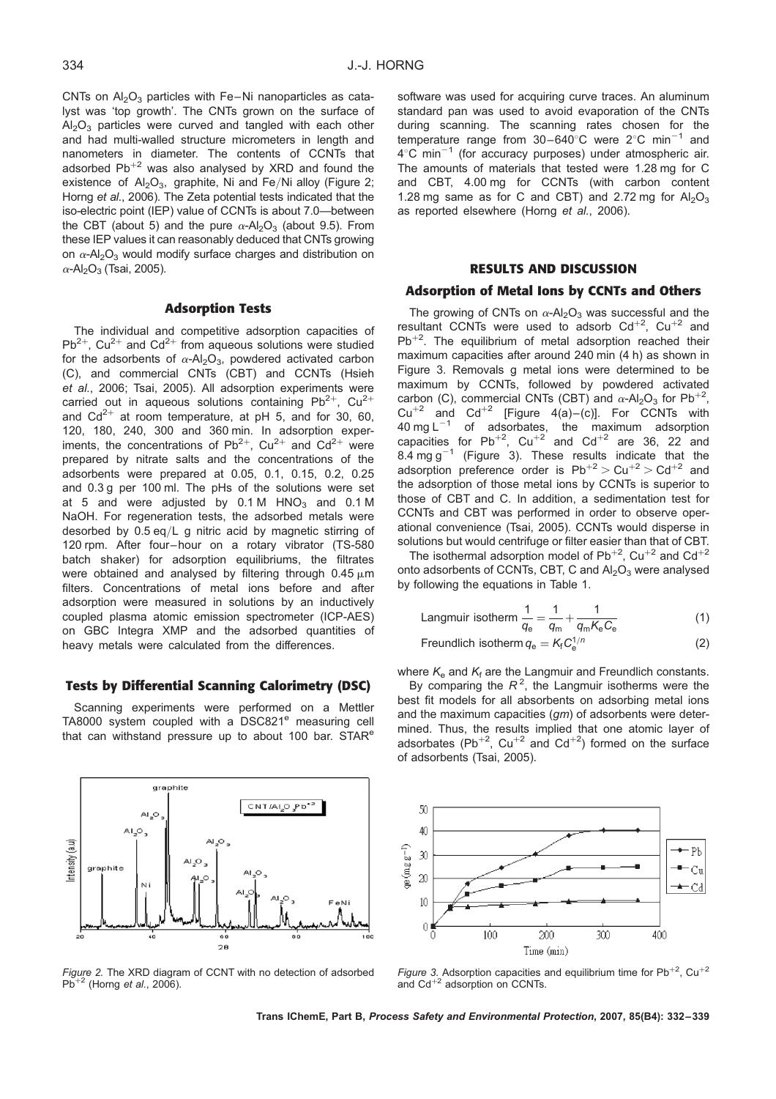CNTs on  $Al_2O_3$  particles with Fe–Ni nanoparticles as catalyst was 'top growth'. The CNTs grown on the surface of  $Al_2O_3$  particles were curved and tangled with each other and had multi-walled structure micrometers in length and nanometers in diameter. The contents of CCNTs that adsorbed  $Pb^{+2}$  was also analysed by XRD and found the existence of  $Al_2O_3$ , graphite, Ni and Fe/Ni alloy (Figure 2; Horng et al., 2006). The Zeta potential tests indicated that the iso-electric point (IEP) value of CCNTs is about 7.0—between the CBT (about 5) and the pure  $\alpha$ -Al<sub>2</sub>O<sub>3</sub> (about 9.5). From these IEP values it can reasonably deduced that CNTs growing on  $\alpha$ -Al<sub>2</sub>O<sub>3</sub> would modify surface charges and distribution on  $\alpha$ -Al<sub>2</sub>O<sub>3</sub> (Tsai, 2005).

# Adsorption Tests

The individual and competitive adsorption capacities of  $Pb^{2+}$ , Cu<sup>2+</sup> and Cd<sup>2+</sup> from aqueous solutions were studied for the adsorbents of  $\alpha$ -Al<sub>2</sub>O<sub>3</sub>, powdered activated carbon (C), and commercial CNTs (CBT) and CCNTs (Hsieh et al., 2006; Tsai, 2005). All adsorption experiments were carried out in aqueous solutions containing  $Pb^{2+}$ , Cu<sup>2+</sup> and  $Cd^{2+}$  at room temperature, at pH 5, and for 30, 60, 120, 180, 240, 300 and 360 min. In adsorption experiments, the concentrations of  $Pb^{2+}$ , Cu<sup>2+</sup> and Cd<sup>2+</sup> were prepared by nitrate salts and the concentrations of the adsorbents were prepared at 0.05, 0.1, 0.15, 0.2, 0.25 and 0.3 g per 100 ml. The pHs of the solutions were set at 5 and were adjusted by  $0.1 M$  HNO<sub>3</sub> and  $0.1 M$ NaOH. For regeneration tests, the adsorbed metals were desorbed by 0.5 eq/L g nitric acid by magnetic stirring of 120 rpm. After four–hour on a rotary vibrator (TS-580 batch shaker) for adsorption equilibriums, the filtrates were obtained and analysed by filtering through  $0.45 \mu m$ filters. Concentrations of metal ions before and after adsorption were measured in solutions by an inductively coupled plasma atomic emission spectrometer (ICP-AES) on GBC Integra XMP and the adsorbed quantities of heavy metals were calculated from the differences.

## Tests by Differential Scanning Calorimetry (DSC)

Scanning experiments were performed on a Mettler TA8000 system coupled with a DSC821<sup>e</sup> measuring cell that can withstand pressure up to about 100 bar. STAR<sup>e</sup>

graphite



Figure 2. The XRD diagram of CCNT with no detection of adsorbed  $Pb^{+2}$  (Horng et al., 2006).

software was used for acquiring curve traces. An aluminum standard pan was used to avoid evaporation of the CNTs during scanning. The scanning rates chosen for the temperature range from  $30-640^{\circ}$ C were  $2^{\circ}$ C min<sup>-1</sup> and  $4^{\circ}$ C min<sup>-1</sup> (for accuracy purposes) under atmospheric air. The amounts of materials that tested were 1.28 mg for C and CBT, 4.00 mg for CCNTs (with carbon content 1.28 mg same as for C and CBT) and 2.72 mg for  $Al_2O_3$ as reported elsewhere (Horng et al., 2006).

# RESULTS AND DISCUSSION

# Adsorption of Metal Ions by CCNTs and Others

The growing of CNTs on  $\alpha$ -Al<sub>2</sub>O<sub>3</sub> was successful and the resultant CCNTs were used to adsorb  $Cd^{+2}$ ,  $Cu^{+2}$  and  $Pb^{+2}$ . The equilibrium of metal adsorption reached their maximum capacities after around 240 min (4 h) as shown in Figure 3. Removals g metal ions were determined to be maximum by CCNTs, followed by powdered activated carbon (C), commercial CNTs (CBT) and  $\alpha$ -Al<sub>2</sub>O<sub>3</sub> for Pb<sup>+2</sup>,  $Cu^{+2}$  and  $Cd^{+2}$  [Figure 4(a)–(c)]. For CCNTs with 40 mg  $L^{-1}$  of adsorbates, the maximum adsorption capacities for Pb<sup>+2</sup>, Cu<sup>+2</sup> and Cd<sup>+2</sup> are 36, 22 and 8.4 mg g<sup>-1</sup> (Figure 3). These results indicate that the adsorption preference order is  $Pb^{+2}$  > Cu<sup>+2</sup> > Cd<sup>+2</sup> and the adsorption of those metal ions by CCNTs is superior to those of CBT and C. In addition, a sedimentation test for CCNTs and CBT was performed in order to observe operational convenience (Tsai, 2005). CCNTs would disperse in solutions but would centrifuge or filter easier than that of CBT.

The isothermal adsorption model of  $Pb^{+2}$ , Cu<sup>+2</sup> and Cd<sup>+2</sup> onto adsorbents of CCNTs, CBT, C and  $Al_2O_3$  were analysed by following the equations in Table 1.

Langmuir isotherm 
$$
\frac{1}{q_e} = \frac{1}{q_m} + \frac{1}{q_m K_e C_e}
$$
 (1)

$$
Freundlich isotherm\,q_e = K_f C_e^{1/n}
$$
 (2)

where  $K_{e}$  and  $K_{f}$  are the Langmuir and Freundlich constants.

By comparing the  $R^2$ , the Langmuir isotherms were the best fit models for all absorbents on adsorbing metal ions and the maximum capacities (am) of adsorbents were determined. Thus, the results implied that one atomic layer of adsorbates (Pb<sup>+2</sup>, Cu<sup>+2</sup> and Cd<sup>+2</sup>) formed on the surface of adsorbents (Tsai, 2005).



Figure 3. Adsorption capacities and equilibrium time for Pb<sup>+2</sup>, Cu<sup>+2</sup> and  $Cd^{+2}$  adsorption on CCNTs.

Trans IChemE, Part B, Process Safety and Environmental Protection, 2007, 85(B4): 332–339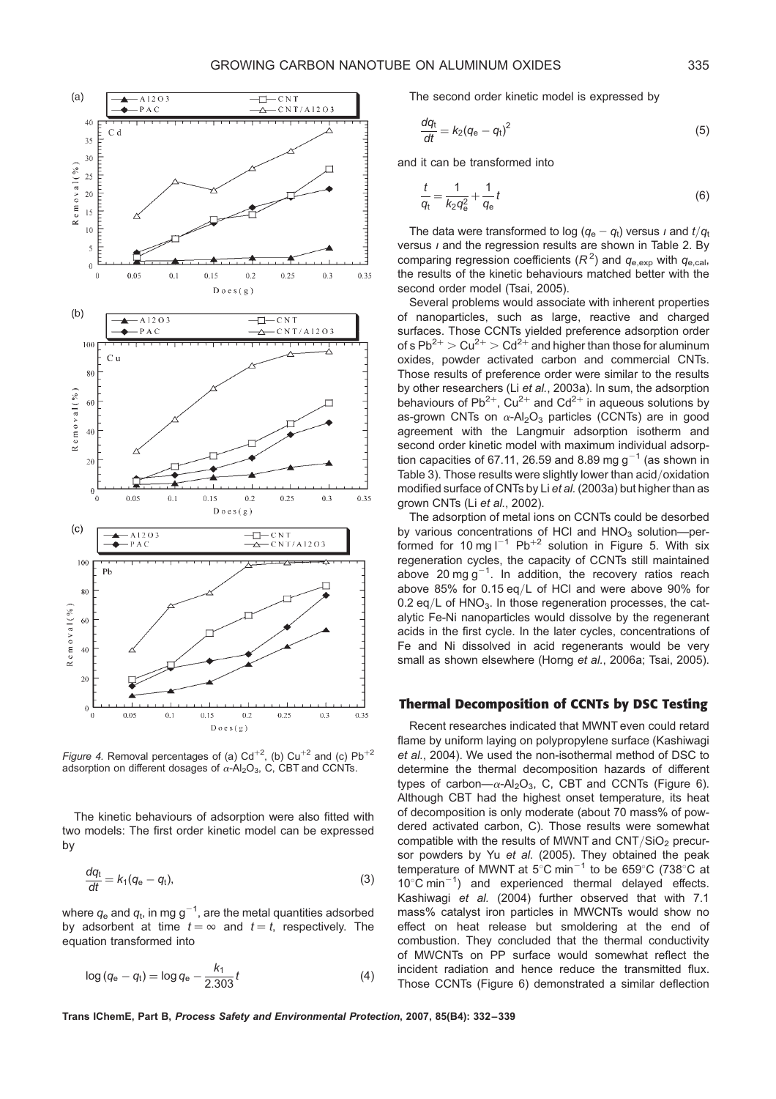

Figure 4. Removal percentages of (a)  $Cd^{+2}$ , (b)  $Cu^{+2}$  and (c)  $Pb^{+2}$ adsorption on different dosages of  $\alpha$ -Al<sub>2</sub>O<sub>3</sub>, C, CBT and CCNTs.

The kinetic behaviours of adsorption were also fitted with two models: The first order kinetic model can be expressed by

$$
\frac{dq_t}{dt} = k_1(q_e - q_t),\tag{3}
$$

where  $q_{\rm e}$  and  $q_{\rm t}$ , in mg g $^{-1}$ , are the metal quantities adsorbed by adsorbent at time  $t = \infty$  and  $t = t$ , respectively. The equation transformed into

$$
\log (q_{\rm e} - q_{\rm t}) = \log q_{\rm e} - \frac{k_1}{2.303} t \tag{4}
$$

The second order kinetic model is expressed by

$$
\frac{dq_{\rm t}}{dt} = k_2(q_{\rm e} - q_{\rm t})^2 \tag{5}
$$

and it can be transformed into

$$
\frac{t}{q_{t}} = \frac{1}{k_2 q_e^2} + \frac{1}{q_e} t
$$
 (6)

The data were transformed to log  $(q_e - q_t)$  versus *i* and  $t/q_t$ versus  $\iota$  and the regression results are shown in Table 2. By comparing regression coefficients  $(R^2)$  and  $q_{e,exp}$  with  $q_{e,cal}$ the results of the kinetic behaviours matched better with the second order model (Tsai, 2005).

Several problems would associate with inherent properties of nanoparticles, such as large, reactive and charged surfaces. Those CCNTs yielded preference adsorption order of s  $Pb^{2+}$  >  $Cu^{2+}$  >  $Cd^{2+}$  and higher than those for aluminum oxides, powder activated carbon and commercial CNTs. Those results of preference order were similar to the results by other researchers (Li et al., 2003a). In sum, the adsorption behaviours of  $Pb^{2+}$ ,  $Cu^{2+}$  and  $Cd^{2+}$  in aqueous solutions by as-grown CNTs on  $\alpha$ -Al<sub>2</sub>O<sub>3</sub> particles (CCNTs) are in good agreement with the Langmuir adsorption isotherm and second order kinetic model with maximum individual adsorption capacities of 67.11, 26.59 and 8.89 mg  $g^{-1}$  (as shown in Table 3). Those results were slightly lower than acid/oxidation modified surface of CNTs by Li et al. (2003a) but higher than as grown CNTs (Li et al., 2002).

The adsorption of metal ions on CCNTs could be desorbed by various concentrations of HCI and  $HNO<sub>3</sub>$  solution--performed for 10 mg  $I^{-1}$  Pb<sup>+2</sup> solution in Figure 5. With six regeneration cycles, the capacity of CCNTs still maintained above 20 mg g<sup>-1</sup>. In addition, the recovery ratios reach above 85% for 0.15 eq/L of HCl and were above 90% for 0.2 eq/L of  $HNO<sub>3</sub>$ . In those regeneration processes, the catalytic Fe-Ni nanoparticles would dissolve by the regenerant acids in the first cycle. In the later cycles, concentrations of Fe and Ni dissolved in acid regenerants would be very small as shown elsewhere (Horng et al., 2006a; Tsai, 2005).

## Thermal Decomposition of CCNTs by DSC Testing

Recent researches indicated that MWNT even could retard flame by uniform laying on polypropylene surface (Kashiwagi et al., 2004). We used the non-isothermal method of DSC to determine the thermal decomposition hazards of different types of carbon— $\alpha$ -Al<sub>2</sub>O<sub>3</sub>, C, CBT and CCNTs (Figure 6). Although CBT had the highest onset temperature, its heat of decomposition is only moderate (about 70 mass% of powdered activated carbon, C). Those results were somewhat compatible with the results of MWNT and  $CNT/SiO<sub>2</sub>$  precursor powders by Yu et al. (2005). They obtained the peak temperature of MWNT at  $5^{\circ}$ C min<sup>-1</sup> to be 659 $^{\circ}$ C (738 $^{\circ}$ C at  $10^{\circ}$ C min<sup>-1</sup>) and experienced thermal delayed effects. Kashiwagi et al. (2004) further observed that with 7.1 mass% catalyst iron particles in MWCNTs would show no effect on heat release but smoldering at the end of combustion. They concluded that the thermal conductivity of MWCNTs on PP surface would somewhat reflect the incident radiation and hence reduce the transmitted flux. Those CCNTs (Figure 6) demonstrated a similar deflection

Trans IChemE, Part B, Process Safety and Environmental Protection, 2007, 85(B4): 332–339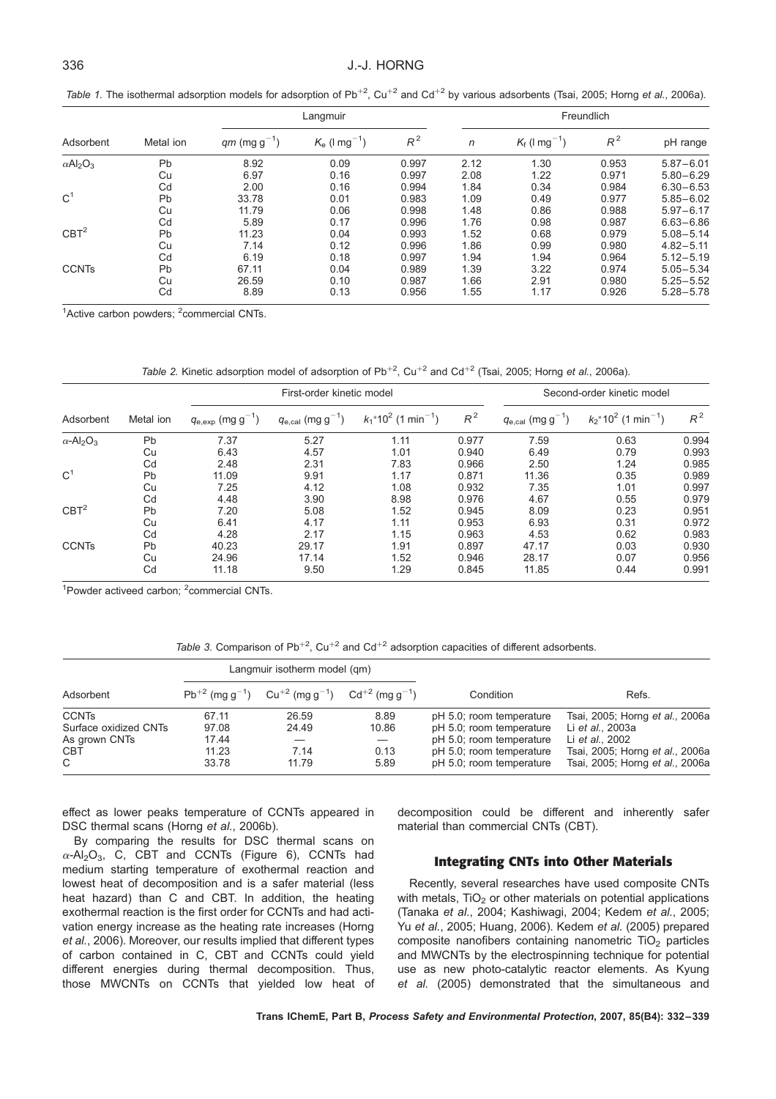Table 1. The isothermal adsorption models for adsorption of Pb<sup>+2</sup>, Cu<sup>+2</sup> and Cd<sup>+2</sup> by various adsorbents (Tsai, 2005; Horng et al., 2006a).

| Adsorbent                               | Metal ion | Langmuir                 |                             |       | Freundlich |                             |       |               |
|-----------------------------------------|-----------|--------------------------|-----------------------------|-------|------------|-----------------------------|-------|---------------|
|                                         |           | $qm \text{ (mg g}^{-1})$ | $K_e$ (I mg <sup>-1</sup> ) | $R^2$ | n          | $K_f$ (I mg <sup>-1</sup> ) | $R^2$ | pH range      |
| $\alpha$ Al <sub>2</sub> O <sub>3</sub> | Pb        | 8.92                     | 0.09                        | 0.997 | 2.12       | 1.30                        | 0.953 | $5.87 - 6.01$ |
|                                         | Cu        | 6.97                     | 0.16                        | 0.997 | 2.08       | 1.22                        | 0.971 | $5.80 - 6.29$ |
|                                         | Cd        | 2.00                     | 0.16                        | 0.994 | 1.84       | 0.34                        | 0.984 | $6.30 - 6.53$ |
| C <sup>1</sup>                          | Pb        | 33.78                    | 0.01                        | 0.983 | 1.09       | 0.49                        | 0.977 | $5.85 - 6.02$ |
|                                         | Cu        | 11.79                    | 0.06                        | 0.998 | 1.48       | 0.86                        | 0.988 | $5.97 - 6.17$ |
|                                         | Cd        | 5.89                     | 0.17                        | 0.996 | 1.76       | 0.98                        | 0.987 | $6.63 - 6.86$ |
| CBT <sup>2</sup>                        | Pb        | 11.23                    | 0.04                        | 0.993 | 1.52       | 0.68                        | 0.979 | $5.08 - 5.14$ |
|                                         | Cu        | 7.14                     | 0.12                        | 0.996 | 1.86       | 0.99                        | 0.980 | $4.82 - 5.11$ |
|                                         | Cd        | 6.19                     | 0.18                        | 0.997 | 1.94       | 1.94                        | 0.964 | $5.12 - 5.19$ |
| <b>CCNTs</b>                            | Pb        | 67.11                    | 0.04                        | 0.989 | 1.39       | 3.22                        | 0.974 | $5.05 - 5.34$ |
|                                         | Cu        | 26.59                    | 0.10                        | 0.987 | 1.66       | 2.91                        | 0.980 | $5.25 - 5.52$ |
|                                         | Cd        | 8.89                     | 0.13                        | 0.956 | 1.55       | 1.17                        | 0.926 | $5.28 - 5.78$ |

<sup>1</sup>Active carbon powders; <sup>2</sup>commercial CNTs.

Table 2. Kinetic adsorption model of adsorption of  $Pb^{+2}$ , Cu<sup>+2</sup> and Cd<sup>+2</sup> (Tsai, 2005; Horng et al., 2006a).

|                                                            | Metal ion | First-order kinetic model      |                                |                                               |       | Second-order kinetic model             |                                               |       |
|------------------------------------------------------------|-----------|--------------------------------|--------------------------------|-----------------------------------------------|-------|----------------------------------------|-----------------------------------------------|-------|
| Adsorbent                                                  |           | $q_{\rm e,exp}$ (mg g $^{-1})$ | $q_{\rm e,cal}$ (mg g $^{-1})$ | $k_1$ *10 <sup>2</sup> (1 min <sup>-1</sup> ) | $R^2$ | $q_{\rm e, cal}$ (mg g <sup>-1</sup> ) | $k_2$ *10 <sup>2</sup> (1 min <sup>-1</sup> ) | $R^2$ |
| $\alpha$ -Al <sub>2</sub> O <sub>3</sub><br>C <sup>1</sup> | Pb        | 7.37                           | 5.27                           | 1.11                                          | 0.977 | 7.59                                   | 0.63                                          | 0.994 |
|                                                            | Cu        | 6.43                           | 4.57                           | 1.01                                          | 0.940 | 6.49                                   | 0.79                                          | 0.993 |
|                                                            | Cd        | 2.48                           | 2.31                           | 7.83                                          | 0.966 | 2.50                                   | 1.24                                          | 0.985 |
|                                                            | <b>Pb</b> | 11.09                          | 9.91                           | 1.17                                          | 0.871 | 11.36                                  | 0.35                                          | 0.989 |
|                                                            | Cu        | 7.25                           | 4.12                           | 1.08                                          | 0.932 | 7.35                                   | 1.01                                          | 0.997 |
|                                                            | Cd        | 4.48                           | 3.90                           | 8.98                                          | 0.976 | 4.67                                   | 0.55                                          | 0.979 |
| CBT <sup>2</sup>                                           | Pb        | 7.20                           | 5.08                           | 1.52                                          | 0.945 | 8.09                                   | 0.23                                          | 0.951 |
|                                                            | Cu        | 6.41                           | 4.17                           | 1.11                                          | 0.953 | 6.93                                   | 0.31                                          | 0.972 |
|                                                            | Cd        | 4.28                           | 2.17                           | 1.15                                          | 0.963 | 4.53                                   | 0.62                                          | 0.983 |
| <b>CCNTs</b>                                               | <b>Pb</b> | 40.23                          | 29.17                          | 1.91                                          | 0.897 | 47.17                                  | 0.03                                          | 0.930 |
|                                                            | Cu        | 24.96                          | 17.14                          | 1.52                                          | 0.946 | 28.17                                  | 0.07                                          | 0.956 |
|                                                            | Cd        | 11.18                          | 9.50                           | 1.29                                          | 0.845 | 11.85                                  | 0.44                                          | 0.991 |

<sup>1</sup> Powder activeed carbon; <sup>2</sup> commercial CNTs.

Table 3. Comparison of Pb<sup>+2</sup>, Cu<sup>+2</sup> and Cd<sup>+2</sup> adsorption capacities of different adsorbents.

|                       |       | Langmuir isotherm model (gm)                                                                                  |       |                          |                                 |
|-----------------------|-------|---------------------------------------------------------------------------------------------------------------|-------|--------------------------|---------------------------------|
| Adsorbent             |       | $Pb^{+2}$ (mg g <sup>-1</sup> ) Cu <sup>+2</sup> (mg g <sup>-1</sup> ) Cd <sup>+2</sup> (mg g <sup>-1</sup> ) |       | Condition                | Refs.                           |
| <b>CCNTs</b>          | 67.11 | 26.59                                                                                                         | 8.89  | pH 5.0; room temperature | Tsai, 2005; Horng et al., 2006a |
| Surface oxidized CNTs | 97.08 | 24.49                                                                                                         | 10.86 | pH 5.0; room temperature | Li et al., 2003a                |
| As grown CNTs         | 17.44 |                                                                                                               |       | pH 5.0; room temperature | Li et al., 2002                 |
| CBT                   | 11.23 | 7.14                                                                                                          | 0.13  | pH 5.0; room temperature | Tsai, 2005; Horng et al., 2006a |
| C.                    | 33.78 | 11.79                                                                                                         | 5.89  | pH 5.0; room temperature | Tsai, 2005; Horng et al., 2006a |

effect as lower peaks temperature of CCNTs appeared in DSC thermal scans (Horng et al., 2006b).

By comparing the results for DSC thermal scans on  $\alpha$ -Al<sub>2</sub>O<sub>3</sub>, C, CBT and CCNTs (Figure 6), CCNTs had medium starting temperature of exothermal reaction and lowest heat of decomposition and is a safer material (less heat hazard) than C and CBT. In addition, the heating exothermal reaction is the first order for CCNTs and had activation energy increase as the heating rate increases (Horng et al., 2006). Moreover, our results implied that different types of carbon contained in C, CBT and CCNTs could yield different energies during thermal decomposition. Thus, those MWCNTs on CCNTs that yielded low heat of decomposition could be different and inherently safer material than commercial CNTs (CBT).

#### Integrating CNTs into Other Materials

Recently, several researches have used composite CNTs with metals. TiO<sub>2</sub> or other materials on potential applications (Tanaka et al., 2004; Kashiwagi, 2004; Kedem et al., 2005; Yu et al., 2005; Huang, 2006). Kedem et al. (2005) prepared composite nanofibers containing nanometric  $TiO<sub>2</sub>$  particles and MWCNTs by the electrospinning technique for potential use as new photo-catalytic reactor elements. As Kyung et al. (2005) demonstrated that the simultaneous and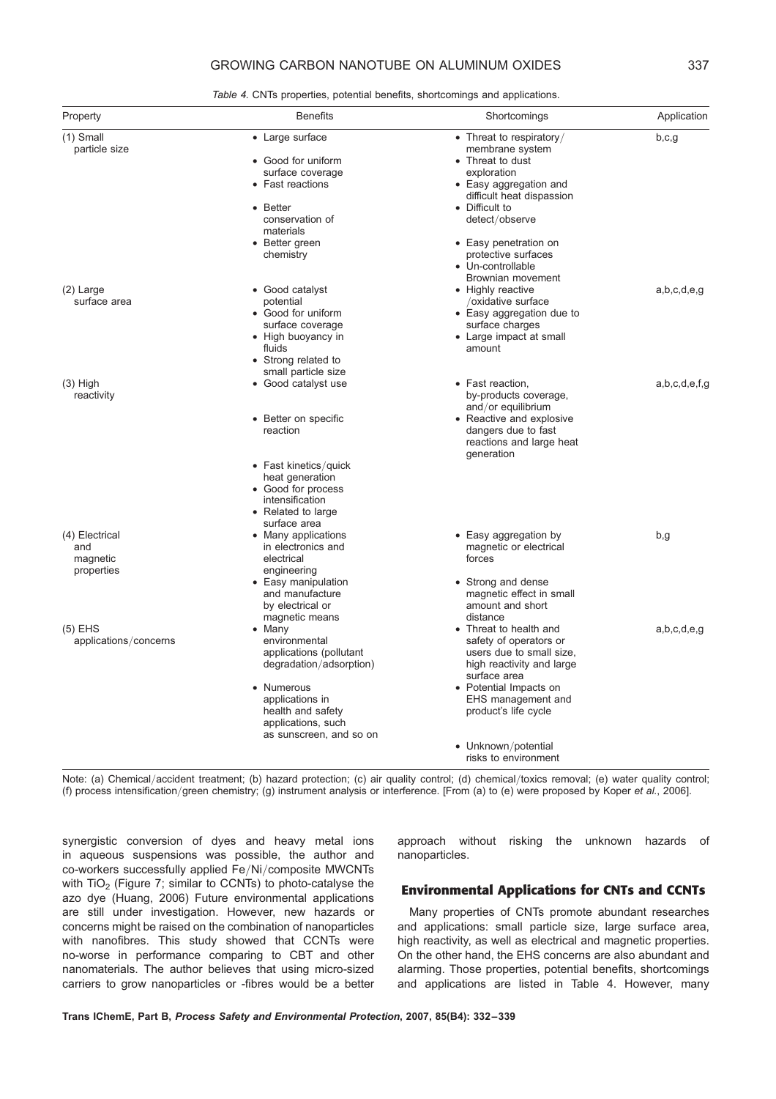# GROWING CARBON NANOTUBE ON ALUMINUM OXIDES 337

Table 4. CNTs properties, potential benefits, shortcomings and applications.

| Property                                        | <b>Benefits</b>                                                                                                                                                                              | Shortcomings                                                                                                                                                                                                                                                        | Application   |
|-------------------------------------------------|----------------------------------------------------------------------------------------------------------------------------------------------------------------------------------------------|---------------------------------------------------------------------------------------------------------------------------------------------------------------------------------------------------------------------------------------------------------------------|---------------|
| $(1)$ Small<br>particle size                    | • Large surface<br>• Good for uniform<br>surface coverage<br>• Fast reactions<br>• Better<br>conservation of<br>materials<br>• Better green<br>chemistry                                     | • Threat to respiratory/<br>membrane system<br>• Threat to dust<br>exploration<br>• Easy aggregation and<br>difficult heat dispassion<br>• Difficult to<br>detect/observe<br>• Easy penetration on<br>protective surfaces<br>• Un-controllable<br>Brownian movement | b,c,g         |
| $(2)$ Large<br>surface area                     | • Good catalyst<br>potential<br>• Good for uniform<br>surface coverage<br>• High buoyancy in<br>fluids<br>• Strong related to                                                                | • Highly reactive<br>/oxidative surface<br>• Easy aggregation due to<br>surface charges<br>• Large impact at small<br>amount                                                                                                                                        | a,b,c,d,e,q   |
| $(3)$ High<br>reactivity                        | small particle size<br>• Good catalyst use<br>• Better on specific<br>reaction<br>• Fast kinetics/quick<br>heat generation<br>• Good for process<br>intensification                          | • Fast reaction,<br>by-products coverage,<br>and/or equilibrium<br>• Reactive and explosive<br>dangers due to fast<br>reactions and large heat<br>generation                                                                                                        | a,b,c,d,e,f,q |
| (4) Electrical<br>and<br>magnetic<br>properties | • Related to large<br>surface area<br>• Many applications<br>in electronics and<br>electrical<br>engineering<br>• Easy manipulation<br>and manufacture<br>by electrical or<br>magnetic means | • Easy aggregation by<br>magnetic or electrical<br>forces<br>• Strong and dense<br>magnetic effect in small<br>amount and short<br>distance                                                                                                                         | b,g           |
| $(5)$ EHS<br>applications/concerns              | $\bullet$ Many<br>environmental<br>applications (pollutant<br>degradation/adsorption)<br>• Numerous<br>applications in<br>health and safety<br>applications, such<br>as sunscreen, and so on | Threat to health and<br>safety of operators or<br>users due to small size,<br>high reactivity and large<br>surface area<br>• Potential Impacts on<br>EHS management and<br>product's life cycle<br>• Unknown/potential<br>risks to environment                      | a,b,c,d,e,g   |

Note: (a) Chemical/accident treatment; (b) hazard protection; (c) air quality control; (d) chemical/toxics removal; (e) water quality control; (f) process intensification/green chemistry; (g) instrument analysis or interference. [From (a) to (e) were proposed by Koper et al., 2006].

synergistic conversion of dyes and heavy metal ions in aqueous suspensions was possible, the author and co-workers successfully applied Fe/Ni/composite MWCNTs with  $TiO<sub>2</sub>$  (Figure 7; similar to CCNTs) to photo-catalyse the azo dye (Huang, 2006) Future environmental applications are still under investigation. However, new hazards or concerns might be raised on the combination of nanoparticles with nanofibres. This study showed that CCNTs were no-worse in performance comparing to CBT and other nanomaterials. The author believes that using micro-sized carriers to grow nanoparticles or -fibres would be a better

approach without risking the unknown hazards of nanoparticles.

## Environmental Applications for CNTs and CCNTs

Many properties of CNTs promote abundant researches and applications: small particle size, large surface area, high reactivity, as well as electrical and magnetic properties. On the other hand, the EHS concerns are also abundant and alarming. Those properties, potential benefits, shortcomings and applications are listed in Table 4. However, many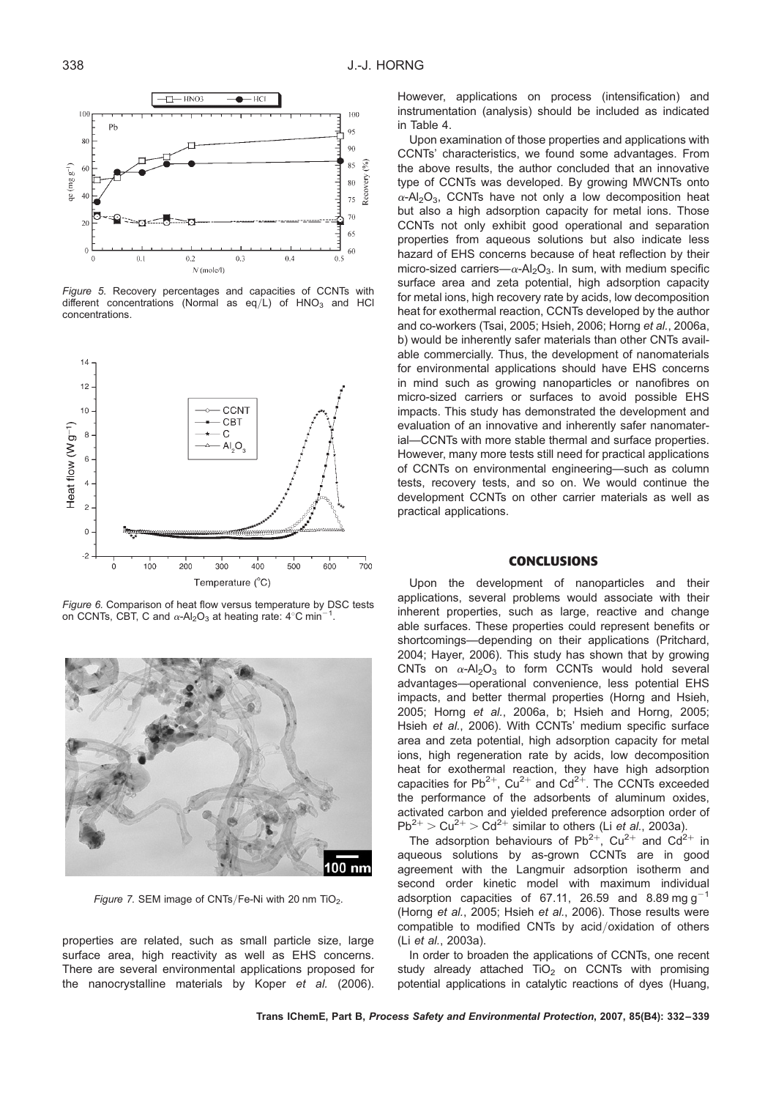

Figure 5. Recovery percentages and capacities of CCNTs with different concentrations (Normal as  $eq/L$ ) of  $HNO<sub>3</sub>$  and HCl concentrations.



Figure 6. Comparison of heat flow versus temperature by DSC tests on CCNTs, CBT, C and  $\alpha$ -Al<sub>2</sub>O<sub>3</sub> at heating rate: 4°C min<sup>-1</sup> .



Figure 7. SEM image of CNTs/Fe-Ni with 20 nm TiO<sub>2</sub>.

properties are related, such as small particle size, large surface area, high reactivity as well as EHS concerns. There are several environmental applications proposed for the nanocrystalline materials by Koper et al. (2006).

However, applications on process (intensification) and instrumentation (analysis) should be included as indicated in Table 4.

Upon examination of those properties and applications with CCNTs' characteristics, we found some advantages. From the above results, the author concluded that an innovative type of CCNTs was developed. By growing MWCNTs onto  $\alpha$ -Al<sub>2</sub>O<sub>3</sub>, CCNTs have not only a low decomposition heat but also a high adsorption capacity for metal ions. Those CCNTs not only exhibit good operational and separation properties from aqueous solutions but also indicate less hazard of EHS concerns because of heat reflection by their micro-sized carriers— $\alpha$ -Al<sub>2</sub>O<sub>3</sub>. In sum, with medium specific surface area and zeta potential, high adsorption capacity for metal ions, high recovery rate by acids, low decomposition heat for exothermal reaction, CCNTs developed by the author and co-workers (Tsai, 2005; Hsieh, 2006; Horng et al., 2006a, b) would be inherently safer materials than other CNTs available commercially. Thus, the development of nanomaterials for environmental applications should have EHS concerns in mind such as growing nanoparticles or nanofibres on micro-sized carriers or surfaces to avoid possible EHS impacts. This study has demonstrated the development and evaluation of an innovative and inherently safer nanomaterial—CCNTs with more stable thermal and surface properties. However, many more tests still need for practical applications of CCNTs on environmental engineering—such as column tests, recovery tests, and so on. We would continue the development CCNTs on other carrier materials as well as practical applications.

#### **CONCLUSIONS**

Upon the development of nanoparticles and their applications, several problems would associate with their inherent properties, such as large, reactive and change able surfaces. These properties could represent benefits or shortcomings—depending on their applications (Pritchard, 2004; Hayer, 2006). This study has shown that by growing CNTs on  $\alpha$ -Al<sub>2</sub>O<sub>3</sub> to form CCNTs would hold several advantages—operational convenience, less potential EHS impacts, and better thermal properties (Horng and Hsieh, 2005; Horng et al., 2006a, b; Hsieh and Horng, 2005; Hsieh et al., 2006). With CCNTs' medium specific surface area and zeta potential, high adsorption capacity for metal ions, high regeneration rate by acids, low decomposition heat for exothermal reaction, they have high adsorption capacities for Pb<sup>2+</sup>, Cu<sup>2+</sup> and Cd<sup>2+</sup>. The CCNTs exceeded the performance of the adsorbents of aluminum oxides, activated carbon and yielded preference adsorption order of  $Pb^{2+}$  > Cu<sup>2+</sup> > Cd<sup>2+</sup> similar to others (Li et al., 2003a).

The adsorption behaviours of Pb<sup>2+</sup>, Cu<sup>2+</sup> and Cd<sup>2+</sup> in aqueous solutions by as-grown CCNTs are in good agreement with the Langmuir adsorption isotherm and second order kinetic model with maximum individual adsorption capacities of 67.11, 26.59 and 8.89 mg  $q^{-1}$ (Horng et al., 2005; Hsieh et al., 2006). Those results were compatible to modified CNTs by acid/oxidation of others (Li et al., 2003a).

In order to broaden the applications of CCNTs, one recent study already attached  $TiO<sub>2</sub>$  on CCNTs with promising potential applications in catalytic reactions of dyes (Huang,